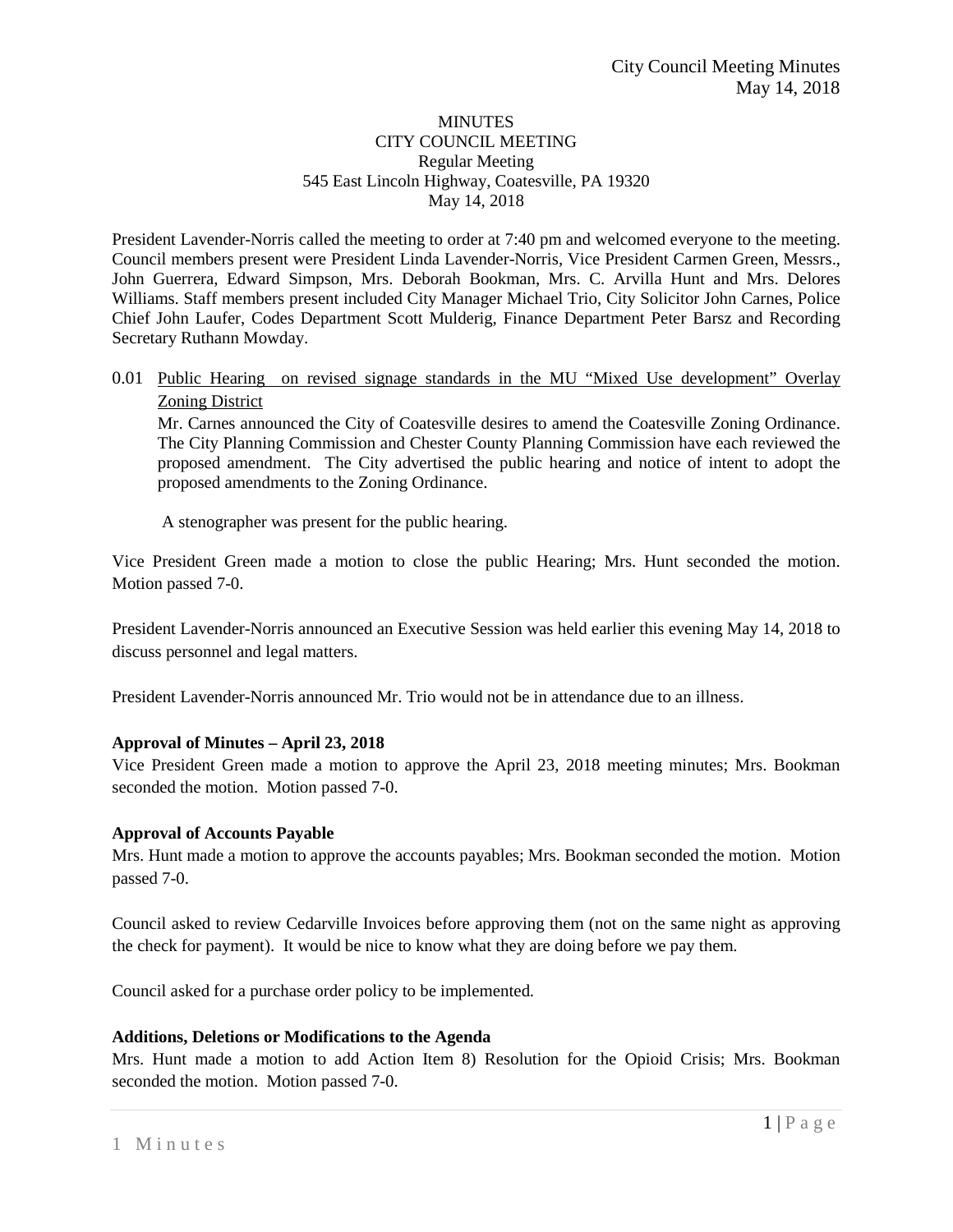#### **MINUTES** CITY COUNCIL MEETING Regular Meeting 545 East Lincoln Highway, Coatesville, PA 19320 May 14, 2018

President Lavender-Norris called the meeting to order at 7:40 pm and welcomed everyone to the meeting. Council members present were President Linda Lavender-Norris, Vice President Carmen Green, Messrs., John Guerrera, Edward Simpson, Mrs. Deborah Bookman, Mrs. C. Arvilla Hunt and Mrs. Delores Williams. Staff members present included City Manager Michael Trio, City Solicitor John Carnes, Police Chief John Laufer, Codes Department Scott Mulderig, Finance Department Peter Barsz and Recording Secretary Ruthann Mowday.

## 0.01 Public Hearing on revised signage standards in the MU "Mixed Use development" Overlay Zoning District

Mr. Carnes announced the City of Coatesville desires to amend the Coatesville Zoning Ordinance. The City Planning Commission and Chester County Planning Commission have each reviewed the proposed amendment. The City advertised the public hearing and notice of intent to adopt the proposed amendments to the Zoning Ordinance.

A stenographer was present for the public hearing.

Vice President Green made a motion to close the public Hearing; Mrs. Hunt seconded the motion. Motion passed 7-0.

President Lavender-Norris announced an Executive Session was held earlier this evening May 14, 2018 to discuss personnel and legal matters.

President Lavender-Norris announced Mr. Trio would not be in attendance due to an illness.

# **Approval of Minutes – April 23, 2018**

Vice President Green made a motion to approve the April 23, 2018 meeting minutes; Mrs. Bookman seconded the motion. Motion passed 7-0.

#### **Approval of Accounts Payable**

Mrs. Hunt made a motion to approve the accounts payables; Mrs. Bookman seconded the motion. Motion passed 7-0.

Council asked to review Cedarville Invoices before approving them (not on the same night as approving the check for payment). It would be nice to know what they are doing before we pay them.

Council asked for a purchase order policy to be implemented.

#### **Additions, Deletions or Modifications to the Agenda**

Mrs. Hunt made a motion to add Action Item 8) Resolution for the Opioid Crisis; Mrs. Bookman seconded the motion. Motion passed 7-0.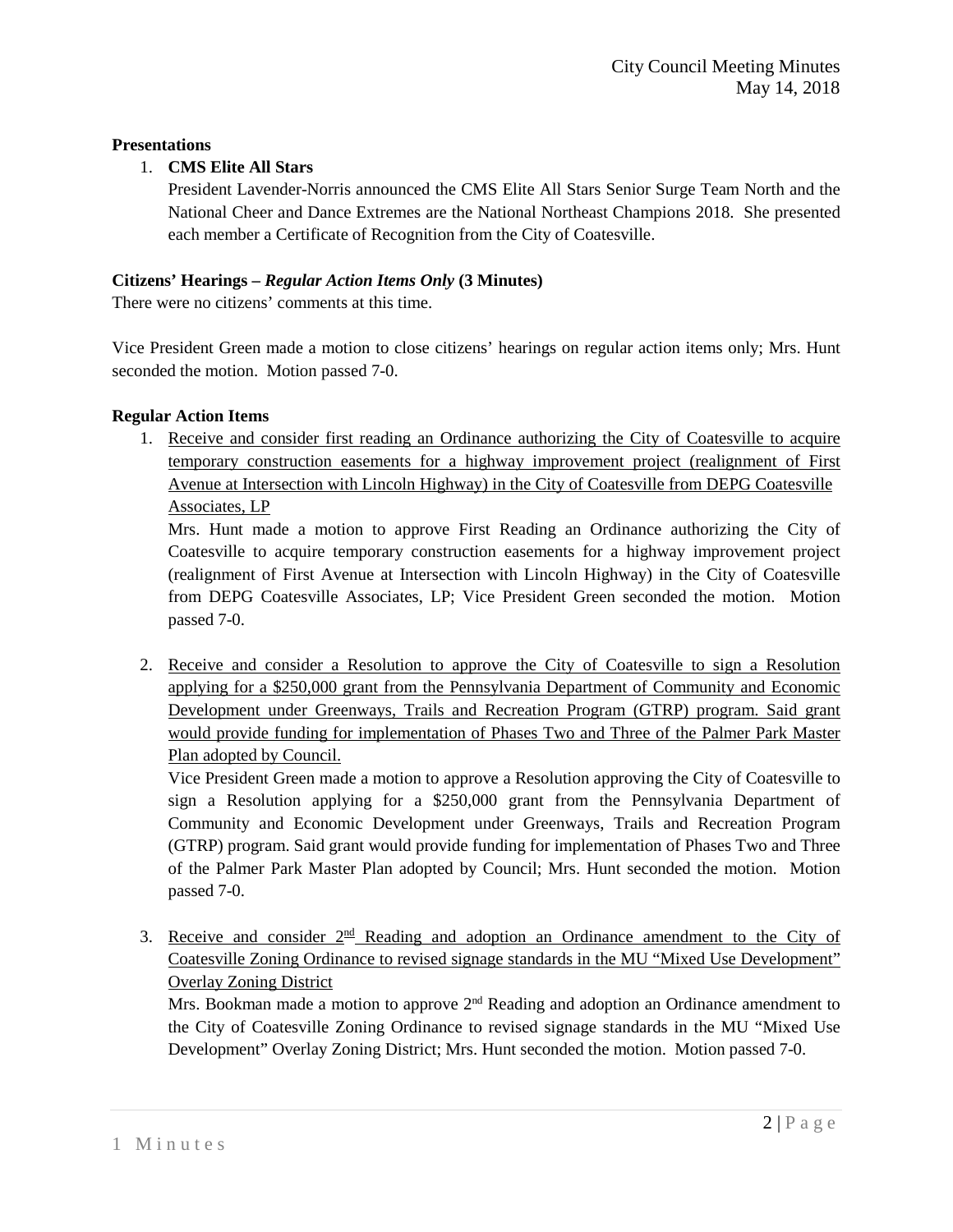# **Presentations**

## 1. **CMS Elite All Stars**

President Lavender-Norris announced the CMS Elite All Stars Senior Surge Team North and the National Cheer and Dance Extremes are the National Northeast Champions 2018. She presented each member a Certificate of Recognition from the City of Coatesville.

## **Citizens' Hearings –** *Regular Action Items Only* **(3 Minutes)**

There were no citizens' comments at this time.

Vice President Green made a motion to close citizens' hearings on regular action items only; Mrs. Hunt seconded the motion. Motion passed 7-0.

## **Regular Action Items**

1. Receive and consider first reading an Ordinance authorizing the City of Coatesville to acquire temporary construction easements for a highway improvement project (realignment of First Avenue at Intersection with Lincoln Highway) in the City of Coatesville from DEPG Coatesville Associates, LP

Mrs. Hunt made a motion to approve First Reading an Ordinance authorizing the City of Coatesville to acquire temporary construction easements for a highway improvement project (realignment of First Avenue at Intersection with Lincoln Highway) in the City of Coatesville from DEPG Coatesville Associates, LP; Vice President Green seconded the motion. Motion passed 7-0.

2. Receive and consider a Resolution to approve the City of Coatesville to sign a Resolution applying for a \$250,000 grant from the Pennsylvania Department of Community and Economic Development under Greenways, Trails and Recreation Program (GTRP) program. Said grant would provide funding for implementation of Phases Two and Three of the Palmer Park Master Plan adopted by Council.

Vice President Green made a motion to approve a Resolution approving the City of Coatesville to sign a Resolution applying for a \$250,000 grant from the Pennsylvania Department of Community and Economic Development under Greenways, Trails and Recreation Program (GTRP) program. Said grant would provide funding for implementation of Phases Two and Three of the Palmer Park Master Plan adopted by Council; Mrs. Hunt seconded the motion. Motion passed 7-0.

3. Receive and consider  $2<sup>nd</sup>$  Reading and adoption an Ordinance amendment to the City of Coatesville Zoning Ordinance to revised signage standards in the MU "Mixed Use Development" Overlay Zoning District

Mrs. Bookman made a motion to approve  $2<sup>nd</sup>$  Reading and adoption an Ordinance amendment to the City of Coatesville Zoning Ordinance to revised signage standards in the MU "Mixed Use Development" Overlay Zoning District; Mrs. Hunt seconded the motion. Motion passed 7-0.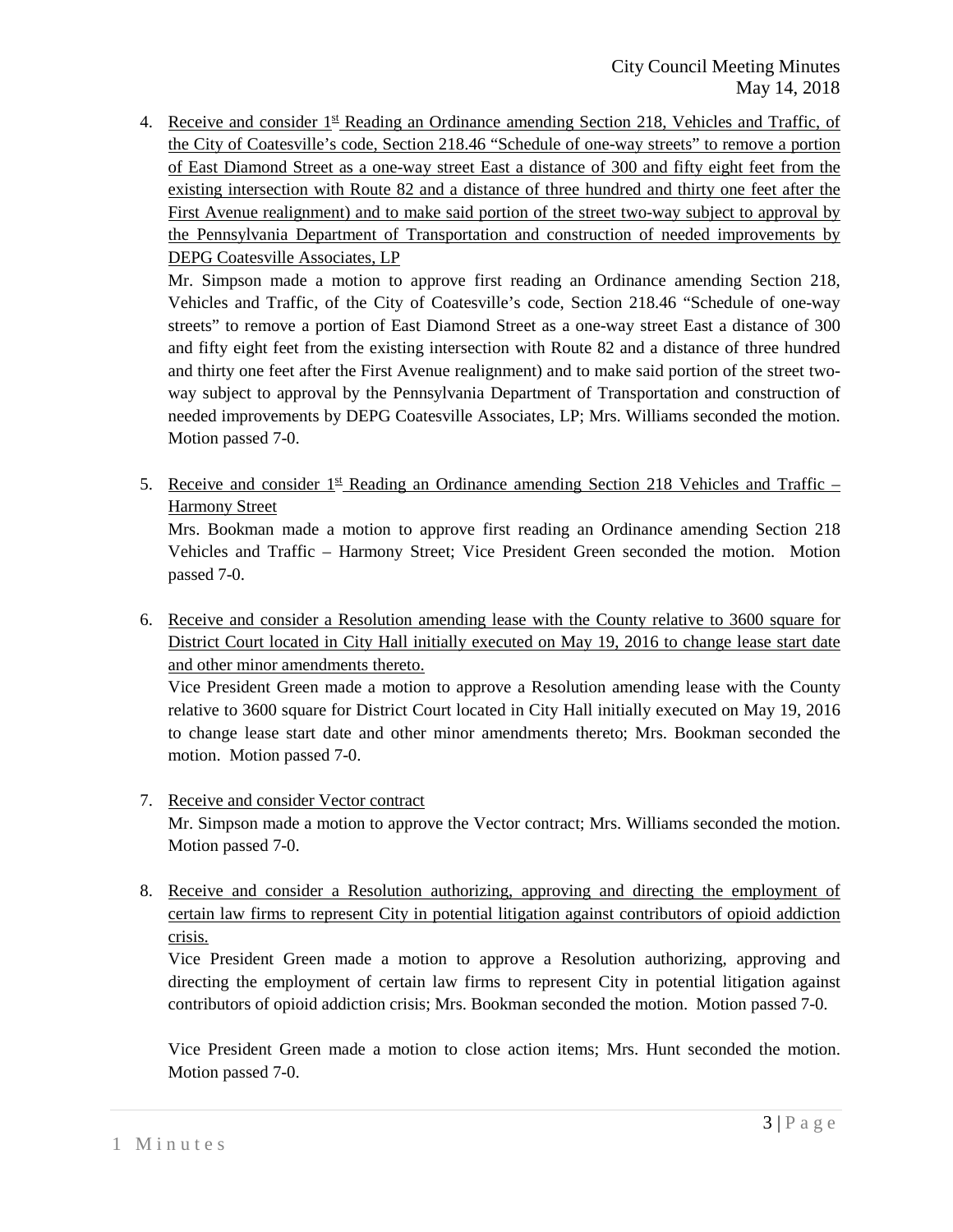4. Receive and consider  $1<sup>st</sup>$  Reading an Ordinance amending Section 218, Vehicles and Traffic, of the City of Coatesville's code, Section 218.46 "Schedule of one-way streets" to remove a portion of East Diamond Street as a one-way street East a distance of 300 and fifty eight feet from the existing intersection with Route 82 and a distance of three hundred and thirty one feet after the First Avenue realignment) and to make said portion of the street two-way subject to approval by the Pennsylvania Department of Transportation and construction of needed improvements by DEPG Coatesville Associates, LP

Mr. Simpson made a motion to approve first reading an Ordinance amending Section 218, Vehicles and Traffic, of the City of Coatesville's code, Section 218.46 "Schedule of one-way streets" to remove a portion of East Diamond Street as a one-way street East a distance of 300 and fifty eight feet from the existing intersection with Route 82 and a distance of three hundred and thirty one feet after the First Avenue realignment) and to make said portion of the street twoway subject to approval by the Pennsylvania Department of Transportation and construction of needed improvements by DEPG Coatesville Associates, LP; Mrs. Williams seconded the motion. Motion passed 7-0.

5. Receive and consider  $1^{\underline{st}}$  Reading an Ordinance amending Section 218 Vehicles and Traffic – Harmony Street

Mrs. Bookman made a motion to approve first reading an Ordinance amending Section 218 Vehicles and Traffic – Harmony Street; Vice President Green seconded the motion. Motion passed 7-0.

6. Receive and consider a Resolution amending lease with the County relative to 3600 square for District Court located in City Hall initially executed on May 19, 2016 to change lease start date and other minor amendments thereto.

Vice President Green made a motion to approve a Resolution amending lease with the County relative to 3600 square for District Court located in City Hall initially executed on May 19, 2016 to change lease start date and other minor amendments thereto; Mrs. Bookman seconded the motion. Motion passed 7-0.

# 7. Receive and consider Vector contract

Mr. Simpson made a motion to approve the Vector contract; Mrs. Williams seconded the motion. Motion passed 7-0.

8. Receive and consider a Resolution authorizing, approving and directing the employment of certain law firms to represent City in potential litigation against contributors of opioid addiction crisis.

Vice President Green made a motion to approve a Resolution authorizing, approving and directing the employment of certain law firms to represent City in potential litigation against contributors of opioid addiction crisis; Mrs. Bookman seconded the motion. Motion passed 7-0.

Vice President Green made a motion to close action items; Mrs. Hunt seconded the motion. Motion passed 7-0.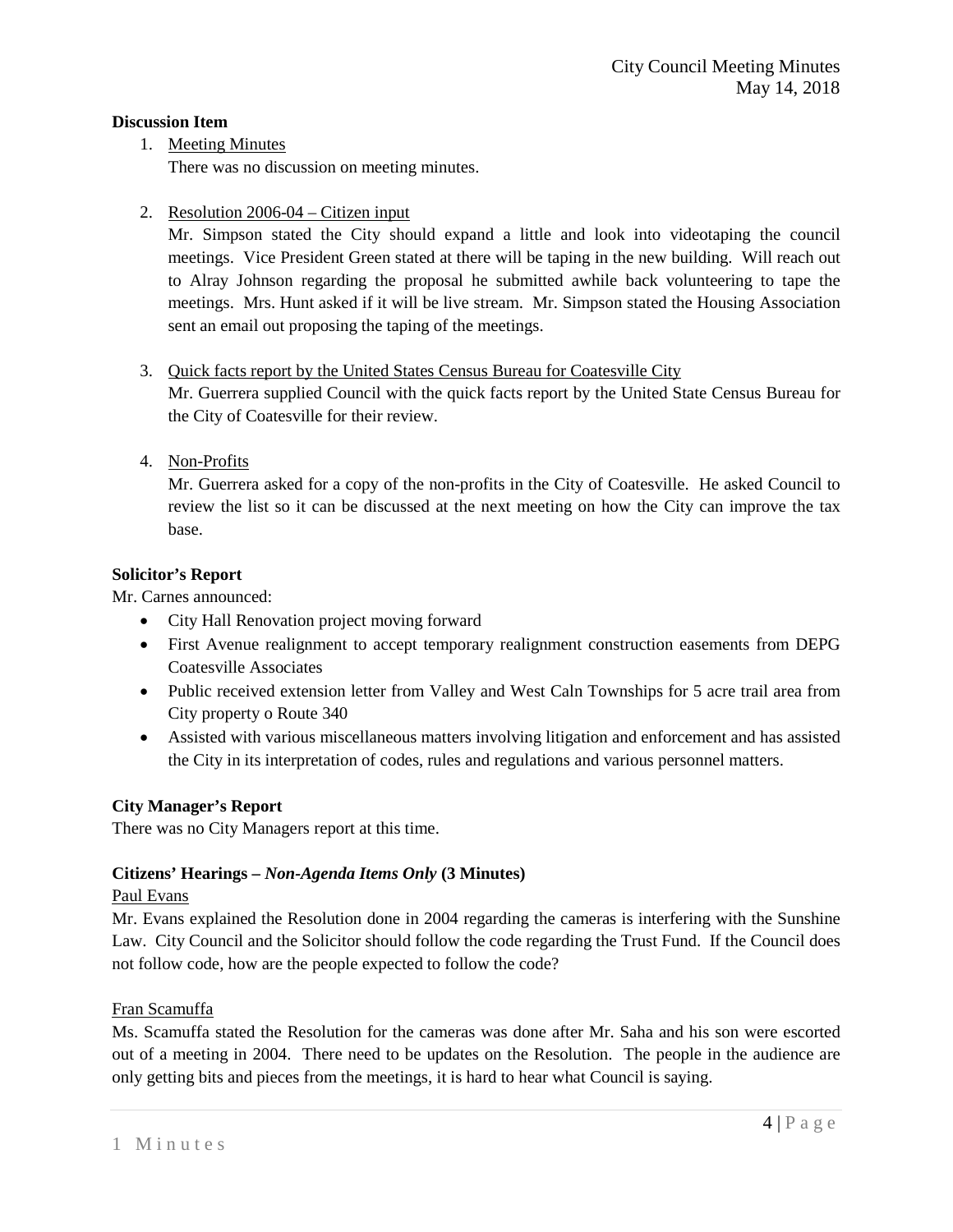#### **Discussion Item**

1. Meeting Minutes

There was no discussion on meeting minutes.

2. Resolution 2006-04 – Citizen input

Mr. Simpson stated the City should expand a little and look into videotaping the council meetings. Vice President Green stated at there will be taping in the new building. Will reach out to Alray Johnson regarding the proposal he submitted awhile back volunteering to tape the meetings. Mrs. Hunt asked if it will be live stream. Mr. Simpson stated the Housing Association sent an email out proposing the taping of the meetings.

# 3. Quick facts report by the United States Census Bureau for Coatesville City

Mr. Guerrera supplied Council with the quick facts report by the United State Census Bureau for the City of Coatesville for their review.

4. Non-Profits

Mr. Guerrera asked for a copy of the non-profits in the City of Coatesville. He asked Council to review the list so it can be discussed at the next meeting on how the City can improve the tax base.

## **Solicitor's Report**

Mr. Carnes announced:

- City Hall Renovation project moving forward
- First Avenue realignment to accept temporary realignment construction easements from DEPG Coatesville Associates
- Public received extension letter from Valley and West Caln Townships for 5 acre trail area from City property o Route 340
- Assisted with various miscellaneous matters involving litigation and enforcement and has assisted the City in its interpretation of codes, rules and regulations and various personnel matters.

#### **City Manager's Report**

There was no City Managers report at this time.

# **Citizens' Hearings –** *Non-Agenda Items Only* **(3 Minutes)**

#### Paul Evans

Mr. Evans explained the Resolution done in 2004 regarding the cameras is interfering with the Sunshine Law. City Council and the Solicitor should follow the code regarding the Trust Fund. If the Council does not follow code, how are the people expected to follow the code?

# Fran Scamuffa

Ms. Scamuffa stated the Resolution for the cameras was done after Mr. Saha and his son were escorted out of a meeting in 2004. There need to be updates on the Resolution. The people in the audience are only getting bits and pieces from the meetings, it is hard to hear what Council is saying.